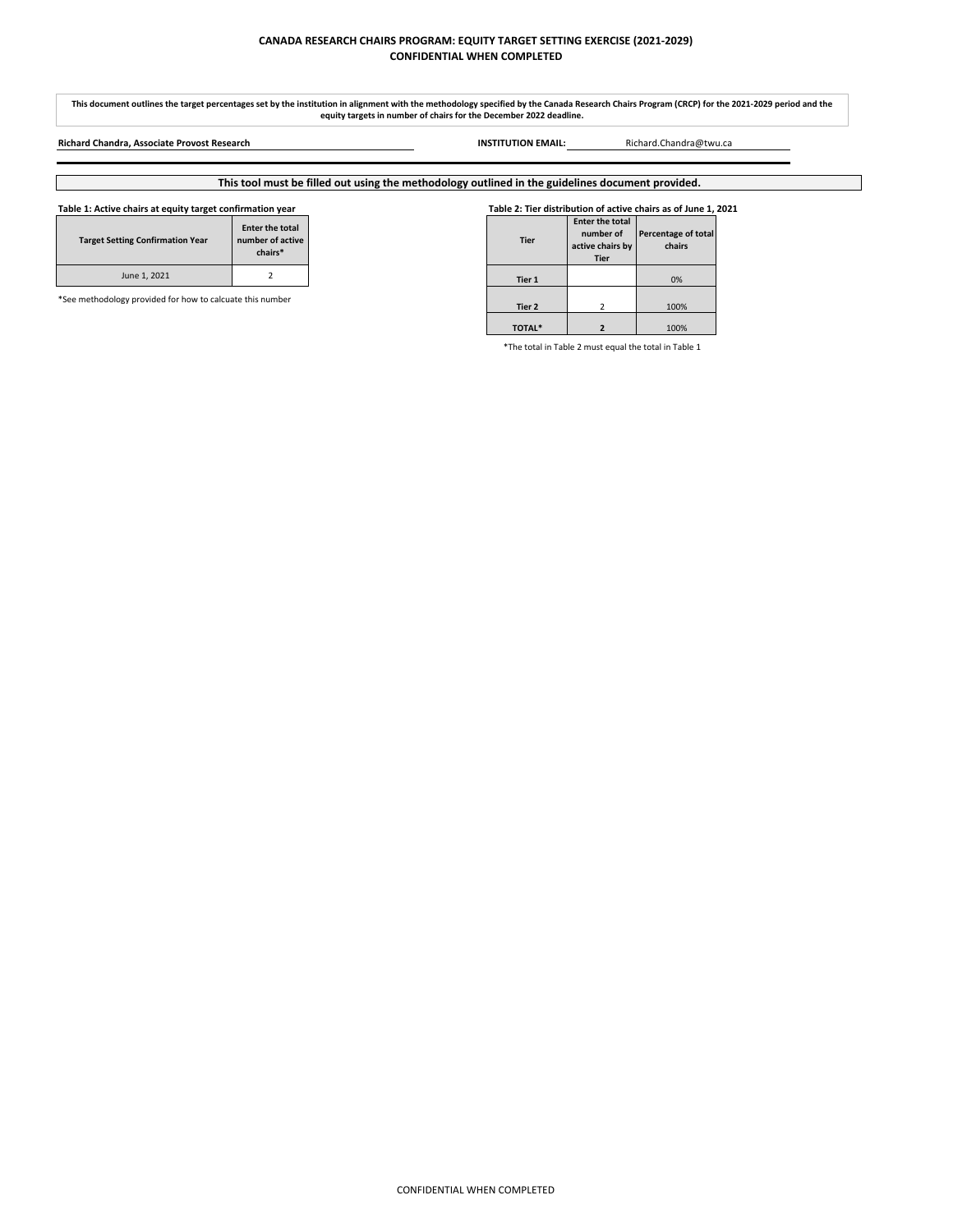# **CANADA RESEARCH CHAIRS PROGRAM: EQUITY TARGET SETTING EXERCISE (2021‐2029) CONFIDENTIAL WHEN COMPLETED**

This document outlines the target percentages set by the institution in alignment with the methodology specified by the Canada Research Chairs Program (CRCP) for the 2021-2029 period and the<br>equity targets in number of cha

# **Richard Chandra, Associate Provost Research <b>Institution INSTITUTION EMAIL:** Richard.Chandra@twu.ca

**This tool must be filled out using the methodology outlined in the guidelines document provided.**

| <b>Target Setting Confirmation Year</b> | <b>Enter the total</b><br>number of active<br>chairs* |
|-----------------------------------------|-------------------------------------------------------|
| June 1, 2021                            |                                                       |

|                                                           | Table 1: Active chairs at equity target confirmation year |  |             | Table 2: Tier distribution of active chairs as of June 1, 2021                                |      |  |  |  |
|-----------------------------------------------------------|-----------------------------------------------------------|--|-------------|-----------------------------------------------------------------------------------------------|------|--|--|--|
| <b>Target Setting Confirmation Year</b>                   | Enter the total<br>number of active<br>chairs*            |  | <b>Tier</b> | <b>Enter the total</b><br>Percentage of total<br>number of<br>active chairs by<br><b>Tier</b> |      |  |  |  |
| June 1, 2021                                              |                                                           |  | Tier 1      |                                                                                               | 0%   |  |  |  |
| *See methodology provided for how to calcuate this number |                                                           |  | Tier 2      |                                                                                               | 100% |  |  |  |
|                                                           |                                                           |  | TOTAL*      |                                                                                               | 100% |  |  |  |

\*The total in Table 2 must equal the total in Table 1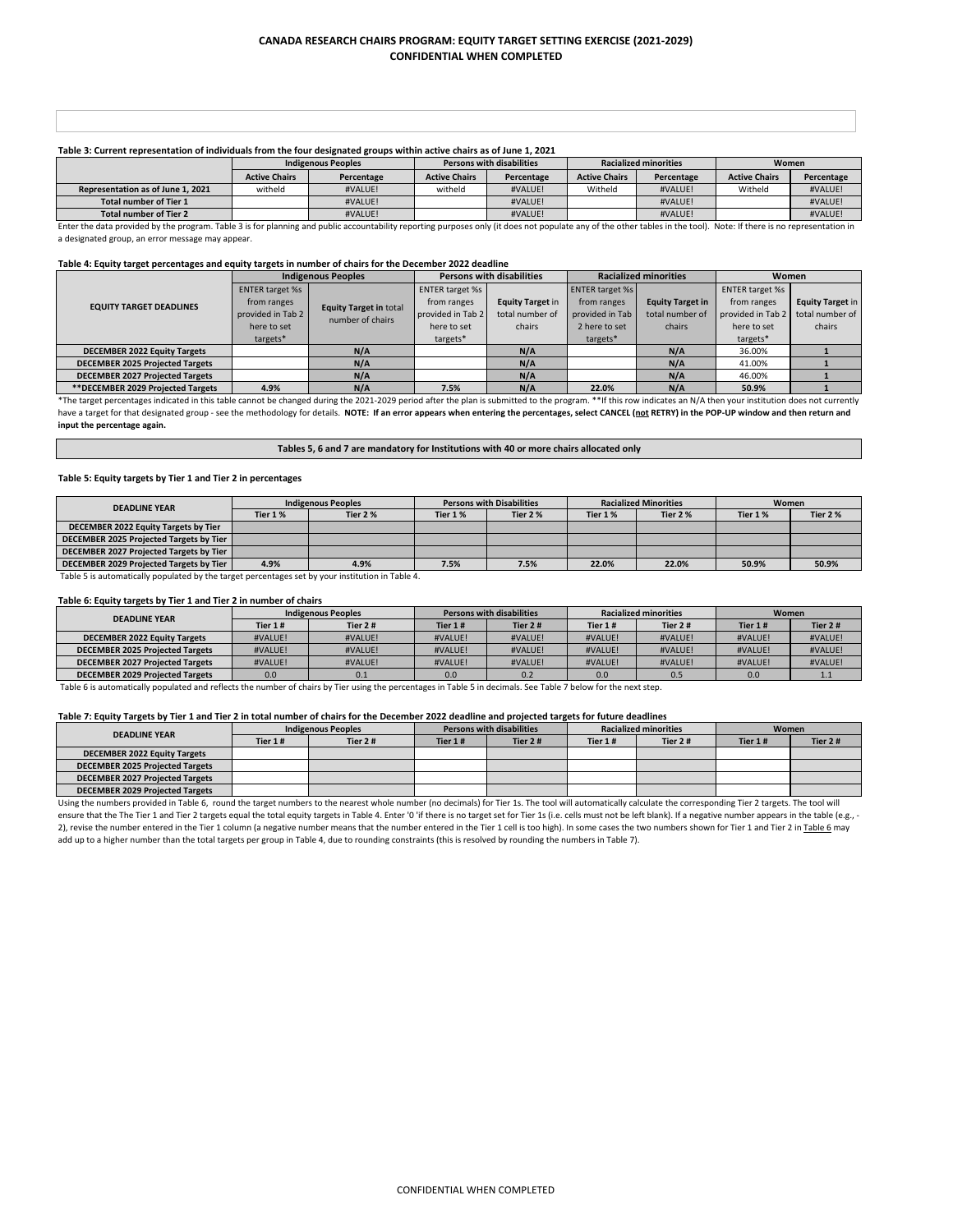# **CANADA RESEARCH CHAIRS PROGRAM: EQUITY TARGET SETTING EXERCISE (2021‐2029) CONFIDENTIAL WHEN COMPLETED**

| m the four designated groups within active chairs as of June 1, 2021<br>Table 3: Current<br>of individuale f |  |  |  |  |  |  |  |
|--------------------------------------------------------------------------------------------------------------|--|--|--|--|--|--|--|

| Table 3. Current representation of individuals from the four designated groups within active chairs as of June 1, 2021                                                                                              |                           |            |                                  |            |                              |            |                      |            |  |
|---------------------------------------------------------------------------------------------------------------------------------------------------------------------------------------------------------------------|---------------------------|------------|----------------------------------|------------|------------------------------|------------|----------------------|------------|--|
|                                                                                                                                                                                                                     | <b>Indigenous Peoples</b> |            | <b>Persons with disabilities</b> |            | <b>Racialized minorities</b> |            | Women                |            |  |
|                                                                                                                                                                                                                     | <b>Active Chairs</b>      | Percentage | <b>Active Chairs</b>             | Percentage | <b>Active Chairs</b>         | Percentage | <b>Active Chairs</b> | Percentage |  |
| Representation as of June 1, 2021                                                                                                                                                                                   | witheld                   | #VALUE!    | witheld                          | #VALUE!    | Witheld                      | #VALUE!    | Witheld              | #VALUE!    |  |
| Total number of Tier 1                                                                                                                                                                                              |                           | #VALUE!    |                                  | #VALUE!    |                              | #VALUE!    |                      | #VALUE!    |  |
| Total number of Tier 2                                                                                                                                                                                              |                           | #VALUE!    |                                  | #VALUE!    |                              | #VALUE!    |                      | #VALUE!    |  |
| Enter the data provided by the program Table 3 is for planning and public accountability reporting purposes only (it does not populate any of the other tables in the tool). Note: If there is no representation in |                           |            |                                  |            |                              |            |                      |            |  |

and public accountability reporting purposes only (it does not populate any of the other tables in the tool). Note: If there is no represe a designated group, an error message may appear.

### **Table 4: Equity target percentages and equity targets in number of chairs for the December 2022 deadline**

| <b>EQUITY TARGET DEADLINES</b>         | <b>Indigenous Peoples</b> |                                                   | <b>Persons with disabilities</b> |                         | <b>Racialized minorities</b> |                         | Women                  |                         |
|----------------------------------------|---------------------------|---------------------------------------------------|----------------------------------|-------------------------|------------------------------|-------------------------|------------------------|-------------------------|
|                                        | <b>ENTER target %s</b>    |                                                   | <b>ENTER target %s</b>           |                         | <b>ENTER target %s</b>       |                         | <b>ENTER target %s</b> |                         |
|                                        | from ranges               | <b>Equity Target in total</b><br>number of chairs | from ranges                      | <b>Equity Target in</b> | from ranges                  | <b>Equity Target in</b> | from ranges            | <b>Equity Target in</b> |
|                                        | provided in Tab 2         |                                                   | provided in Tab 2                | total number of         | provided in Tab              | total number of         | provided in Tab 2      | total number of         |
|                                        | here to set               |                                                   | here to set                      | chairs                  | 2 here to set                | chairs                  | here to set            | chairs                  |
|                                        | targets*                  |                                                   | targets*                         |                         | targets*                     |                         | targets*               |                         |
| <b>DECEMBER 2022 Equity Targets</b>    |                           | N/A                                               |                                  | N/A                     |                              | N/A                     | 36.00%                 |                         |
| <b>DECEMBER 2025 Projected Targets</b> |                           | N/A                                               |                                  | N/A                     |                              | N/A                     | 41.00%                 |                         |
| <b>DECEMBER 2027 Projected Targets</b> |                           | N/A                                               |                                  | N/A                     |                              | N/A                     | 46.00%                 |                         |
| **DECEMBER 2029 Projected Targets      | <b>4 9%</b>               | $N/\Delta$                                        | 7.5%                             | $N/\Delta$              | 22.0%                        | $N/\Delta$              | 50.9%                  |                         |

\*DECEMBER 2029 Projected Targets | 4.9% | N/A | 7.5% | N/A | 22.0% | N/A | 50.9% | 1<br>\*The target percentages indicated in this table cannot be changed during the 2021-2029 period after the plan is submitted to the program. have a target for that designated group - see the methodology for details. NOTE: If an error appears when entering the percentages, select CANCEL (not RETRY) in the POP-UP window and then return and **input the percentage again.**

#### **Tables 5, 6 and 7 are mandatory for Institutions with 40 or more chairs allocated only**

### **Table 5: Equity targets by Tier 1 and Tier 2 in percentages**

| <b>DEADLINE YEAR</b>                    | <b>Indigenous Peoples</b> |          | <b>Persons with Disabilities</b> |                 | <b>Racialized Minorities</b> |          | Women           |          |
|-----------------------------------------|---------------------------|----------|----------------------------------|-----------------|------------------------------|----------|-----------------|----------|
|                                         | Tier 1 %                  | Tier 2 % | Tier 1 %                         | <b>Tier 2 %</b> | <b>Tier 1 %</b>              | Tier 2 % | <b>Tier 1 %</b> | Tier 2 % |
| DECEMBER 2022 Equity Targets by Tier    |                           |          |                                  |                 |                              |          |                 |          |
| DECEMBER 2025 Projected Targets by Tier |                           |          |                                  |                 |                              |          |                 |          |
| DECEMBER 2027 Projected Targets by Tier |                           |          |                                  |                 |                              |          |                 |          |
| DECEMBER 2029 Projected Targets by Tier | 4.9%                      | 4.9%     | 7.5%                             | 7.5%            | 22.0%                        | 22.0%    | 50.9%           | 50.9%    |

Table 5 is automatically populated by the target percentages set by your institution in Table 4.

#### **Table 6: Equity targets by Tier 1 and Tier 2 in number of chairs**

| <b>DEADLINE YEAR</b>                                                                                                                                            |         | <b>Indigenous Peoples</b> |         | <b>Persons with disabilities</b> |         | <b>Racialized minorities</b> |         | Women   |  |
|-----------------------------------------------------------------------------------------------------------------------------------------------------------------|---------|---------------------------|---------|----------------------------------|---------|------------------------------|---------|---------|--|
|                                                                                                                                                                 | Tier 1# | Tier 2#                   | Tier 1# | Tier 2#                          | Tier 1# | Tier 2#                      | Tier 1# | Tier 2# |  |
| <b>DECEMBER 2022 Equity Targets</b>                                                                                                                             | #VALUE! | #VALUE!                   | #VALUE! | #VALUE!                          | #VALUE! | #VALUE!                      | #VALUE! | #VALUE! |  |
| <b>DECEMBER 2025 Projected Targets</b>                                                                                                                          | #VALUE! | #VALUE!                   | #VALUE! | #VALUE!                          | #VALUE! | #VALUE!                      | #VALUE! | #VALUE! |  |
| <b>DECEMBER 2027 Projected Targets</b>                                                                                                                          | #VALUE! | #VALUE!                   | #VALUE! | #VALUE!                          | #VALUE! | #VALUE!                      | #VALUE! | #VALUE! |  |
| <b>DECEMBER 2029 Projected Targets</b>                                                                                                                          | 0.0     | 0.1                       | 0.0     | 0.2                              | 0.0     | 0.5                          | 0.0     |         |  |
| Table 6 is automatically populated and reflects the number of chairs by Tier using the percentages in Table 5 in decimals. See Table 7 below for the next step. |         |                           |         |                                  |         |                              |         |         |  |

### Table 7: Equity Targets by Tier 1 and Tier 2 in total number of chairs for the December 2022 deadline and projected targets for future deadlines

| <b>DEADLINE YEAR</b>                   | <b>Indigenous Peoples</b> |         | <b>Persons with disabilities</b> |         | <b>Racialized minorities</b> |         | Women   |         |
|----------------------------------------|---------------------------|---------|----------------------------------|---------|------------------------------|---------|---------|---------|
|                                        | Tier 1#                   | Tier 2# | Tier 1#                          | Tier 2# | Tier 1#                      | Tier 2# | Tier 1# | Tier 2# |
| <b>DECEMBER 2022 Equity Targets</b>    |                           |         |                                  |         |                              |         |         |         |
| <b>DECEMBER 2025 Projected Targets</b> |                           |         |                                  |         |                              |         |         |         |
| <b>DECEMBER 2027 Projected Targets</b> |                           |         |                                  |         |                              |         |         |         |
| <b>DECEMBER 2029 Projected Targets</b> |                           |         |                                  |         |                              |         |         |         |

Using the numbers provided in Table 6, round the target numbers to the nearest whole number (no decimals) for Tier 1s. The tool will automatically calculate the corresponding Tier 2 targets. The tool will ensure that the The Tier 1 and Tier 2 targets equal the total equity targets in Table 4. Enter '0 'if there is no target set for Tier 1s (i.e. cells must not be left blank). If a negative number appears in the table (e.g., 2), revise the number entered in the Tier 1 column (a negative number means that the number entered in the Tier 1 cell is too high). In some cases the two numbers shown for Tier 1 and Tier 2 in Table 6 may add up to a higher number than the total targets per group in Table 4, due to rounding constraints (this is resolved by rounding the numbers in Table 7).